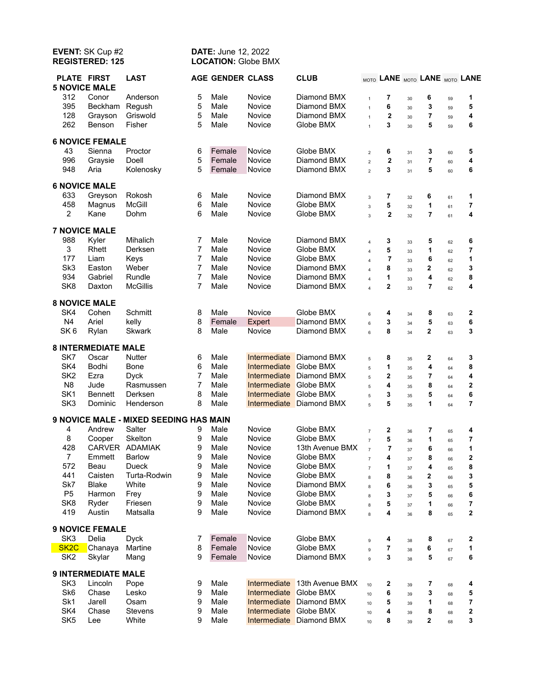# **EVENT:** SK Cup #2 **DATE:** June 12, 2022<br> **REGISTERED: 125 LOCATION:** Globe BM **LOCATION: Globe BMX**

| <b>PLATE FIRST</b><br><b>5 NOVICE MALE</b> |                            | <b>LAST</b>                            |                | <b>AGE GENDER CLASS</b> |                        | <b>CLUB</b>              |                         | MOTO LANE MOTO LANE MOTO LANE |    |                |    |   |
|--------------------------------------------|----------------------------|----------------------------------------|----------------|-------------------------|------------------------|--------------------------|-------------------------|-------------------------------|----|----------------|----|---|
| 312                                        | Conor                      | Anderson                               | 5              | Male                    | Novice                 | Diamond BMX              | $\mathbf{1}$            | 7                             | 30 | 6              | 59 | 1 |
| 395                                        | Beckham                    | Regush                                 | 5              | Male                    | Novice                 | Diamond BMX              | $\mathbf{1}$            | 6                             | 30 | 3              | 59 | 5 |
| 128                                        | Grayson                    | Griswold                               | 5              | Male                    | Novice                 | Diamond BMX              | $\mathbf{1}$            | $\mathbf 2$                   | 30 | $\overline{7}$ | 59 | 4 |
| 262                                        | Benson                     | Fisher                                 | 5              | Male                    | Novice                 | Globe BMX                | $\mathbf{1}$            | 3                             | 30 | 5              | 59 | 6 |
|                                            |                            |                                        |                |                         |                        |                          |                         |                               |    |                |    |   |
|                                            | <b>6 NOVICE FEMALE</b>     |                                        |                |                         |                        |                          |                         |                               |    |                |    |   |
| 43                                         | Sienna                     | Proctor                                | 6              | Female                  | Novice                 | Globe BMX                | $\overline{2}$          | 6                             | 31 | 3              | 60 | 5 |
| 996                                        | Graysie                    | Doell                                  | 5              | Female                  | Novice                 | Diamond BMX              | $\overline{2}$          | $\mathbf 2$                   | 31 | $\overline{7}$ | 60 | 4 |
| 948                                        | Aria                       | Kolenosky                              | 5              | Female                  | Novice                 | Diamond BMX              | $\overline{2}$          | 3                             | 31 | 5              | 60 | 6 |
| <b>6 NOVICE MALE</b>                       |                            |                                        |                |                         |                        |                          |                         |                               |    |                |    |   |
| 633                                        | Greyson                    | Rokosh                                 | 6              | Male                    | Novice                 | Diamond BMX              | $\mathsf 3$             | 7                             | 32 | 6              | 61 | 1 |
| 458                                        | Magnus                     | <b>McGill</b>                          | 6              | Male                    | Novice                 | Globe BMX                | $\mathbf{3}$            | 5                             | 32 | 1              | 61 | 7 |
| $\overline{2}$                             | Kane                       | Dohm                                   | 6              | Male                    | Novice                 | Globe BMX                | $\overline{3}$          | 2                             | 32 | $\overline{7}$ | 61 | 4 |
|                                            |                            |                                        |                |                         |                        |                          |                         |                               |    |                |    |   |
| <b>7 NOVICE MALE</b>                       |                            |                                        |                |                         |                        |                          |                         |                               |    |                |    |   |
| 988                                        | Kyler                      | Mihalich                               | 7              | Male                    | Novice                 | Diamond BMX              | $\pmb{4}$               | 3                             | 33 | 5              | 62 | 6 |
| 3                                          | Rhett                      | Derksen                                | $\overline{7}$ | Male                    | Novice                 | Globe BMX                | $\overline{\mathbf{4}}$ | 5                             | 33 | 1              | 62 | 7 |
| 177                                        | Liam                       | Keys                                   | 7              | Male                    | Novice                 | Globe BMX                | $\overline{\mathbf{4}}$ | $\overline{7}$                | 33 | 6              | 62 | 1 |
| Sk3                                        | Easton                     | Weber                                  | $\overline{7}$ | Male                    | Novice                 | Diamond BMX              | $\overline{\mathbf{4}}$ | 8                             | 33 | 2              | 62 | 3 |
| 934                                        | Gabriel                    | Rundle                                 | 7              | Male                    | Novice                 | Diamond BMX              | $\overline{\mathbf{4}}$ | 1                             | 33 | 4              | 62 | 8 |
| SK <sub>8</sub>                            | Daxton                     | <b>McGillis</b>                        | 7              | Male                    | Novice                 | Diamond BMX              | $\overline{4}$          | 2                             | 33 | $\overline{7}$ | 62 | 4 |
| <b>8 NOVICE MALE</b>                       |                            |                                        |                |                         |                        |                          |                         |                               |    |                |    |   |
| SK4                                        | Cohen                      | Schmitt                                | 8              | Male                    | Novice                 | Globe BMX                | $\,6\,$                 | 4                             | 34 | 8              | 63 | 2 |
| N <sub>4</sub>                             | Ariel                      | kelly                                  | 8              | Female                  | Expert                 | Diamond BMX              | 6                       | 3                             | 34 | 5              | 63 | 6 |
| SK <sub>6</sub>                            | Rylan                      | <b>Skwark</b>                          | 8              | Male                    | Novice                 | Diamond BMX              | 6                       | 8                             | 34 | $\mathbf 2$    | 63 | 3 |
|                                            | <b>8 INTERMEDIATE MALE</b> |                                        |                |                         |                        |                          |                         |                               |    |                |    |   |
| SK7                                        | Oscar                      | <b>Nutter</b>                          | 6              | Male                    | Intermediate           | Diamond BMX              | $\sqrt{5}$              | 8                             | 35 | 2              | 64 | 3 |
| SK4                                        | Bodhi                      | Bone                                   | 6              | Male                    | Intermediate           | <b>Globe BMX</b>         | $\overline{5}$          | 1                             | 35 | 4              | 64 | 8 |
| SK <sub>2</sub>                            | Ezra                       | <b>Dyck</b>                            | 7              | Male                    | Intermediate           | Diamond BMX              | $\overline{5}$          | $\mathbf{2}$                  | 35 | 7              | 64 | 4 |
| N <sub>8</sub>                             | Jude                       | Rasmussen                              | $\overline{7}$ | Male                    | Intermediate           | Globe BMX                | 5                       | 4                             | 35 | 8              | 64 | 2 |
| SK <sub>1</sub>                            | <b>Bennett</b>             | Derksen                                | 8              | Male                    | Intermediate           | <b>Globe BMX</b>         | 5                       | 3                             | 35 | 5              | 64 | 6 |
| SK <sub>3</sub>                            | Dominic                    | Henderson                              | 8              | Male                    |                        | Intermediate Diamond BMX | $\overline{5}$          | 5                             | 35 | 1              | 64 | 7 |
|                                            |                            | 9 NOVICE MALE - MIXED SEEDING HAS MAIN |                |                         |                        |                          |                         |                               |    |                |    |   |
| 4                                          | Andrew                     | Salter                                 | 9              | Male                    | Novice                 | Globe BMX                | $\overline{7}$          | 2                             | 36 | 7              | 65 | 4 |
| 8                                          | Cooper                     | Skelton                                | 9              | Male                    | Novice                 | Globe BMX                | $\overline{7}$          | 5                             | 36 | 1              | 65 | 7 |
| 428                                        |                            | CARVER ADAMIAK                         | 9              | Male                    | Novice                 | 13th Avenue BMX          | $\overline{7}$          | $\overline{7}$                | 37 | 6              | 66 | 1 |
| $\overline{7}$                             | Emmett                     | <b>Barlow</b>                          | 9              | Male                    | Novice                 | Globe BMX                | $\overline{7}$          | 4                             | 37 | 8              | 66 | 2 |
| 572                                        | Beau                       | Dueck                                  | 9              | Male                    | Novice                 | Globe BMX                | $\overline{7}$          | 1                             | 37 | 4              | 65 | 8 |
| 441                                        | Caisten                    | Turta-Rodwin                           | 9              | Male                    | Novice                 | Globe BMX                | 8                       | 8                             | 36 | 2              | 66 | 3 |
| Sk7                                        | <b>Blake</b>               | White                                  | 9              | Male                    | Novice                 | Diamond BMX              | 8                       | 6                             | 36 | 3              | 65 | 5 |
| P <sub>5</sub>                             | Harmon                     | Frey                                   | 9              | Male                    | Novice                 | Globe BMX                | 8                       | 3                             | 37 | 5              | 66 | 6 |
| SK <sub>8</sub>                            | Ryder                      | Friesen                                | 9              | Male                    | Novice                 | Globe BMX                | 8                       | 5                             | 37 | 1              | 66 | 7 |
| 419                                        | Austin                     | Matsalla                               | 9              | Male                    | Novice                 | Diamond BMX              | 8                       | 4                             | 36 | 8              | 65 | 2 |
| <b>9 NOVICE FEMALE</b>                     |                            |                                        |                |                         |                        |                          |                         |                               |    |                |    |   |
|                                            | Delia                      |                                        |                |                         | Novice                 |                          |                         |                               |    |                |    |   |
| SK <sub>3</sub>                            |                            | <b>Dyck</b>                            | 7              | Female                  |                        | Globe BMX                | $\mathsf g$             | 4                             | 38 | 8              | 67 | 2 |
| SK <sub>2</sub> C                          | Chanaya                    | Martine                                | 8              | Female                  | Novice                 | Globe BMX                | $\overline{9}$          | $\overline{7}$                | 38 | 6              | 67 | 1 |
| SK <sub>2</sub>                            | Skylar                     | Mang                                   | 9              | Female                  | Novice                 | Diamond BMX              | $\overline{9}$          | 3                             | 38 | 5              | 67 | 6 |
|                                            | <b>9 INTERMEDIATE MALE</b> |                                        |                |                         |                        |                          |                         |                               |    |                |    |   |
| SK <sub>3</sub>                            | Lincoln                    | Pope                                   | 9              | Male                    | Intermediate           | 13th Avenue BMX          | 10                      | 2                             | 39 | 7              | 68 | 4 |
| Sk6                                        | Chase                      | Lesko                                  | 9              | Male                    | Intermediate Globe BMX |                          | 10                      | 6                             | 39 | 3              | 68 | 5 |
| Sk1                                        | Jarell                     | Osam                                   | 9              | Male                    |                        | Intermediate Diamond BMX | 10                      | 5                             | 39 | 1              | 68 | 7 |
| SK4                                        | Chase                      | Stevens                                | 9              | Male                    | Intermediate Globe BMX |                          | 10                      | 4                             | 39 | 8              | 68 | 2 |
| SK <sub>5</sub>                            | Lee                        | White                                  | 9              | Male                    |                        | Intermediate Diamond BMX | 10                      | 8                             | 39 | 2              | 68 | 3 |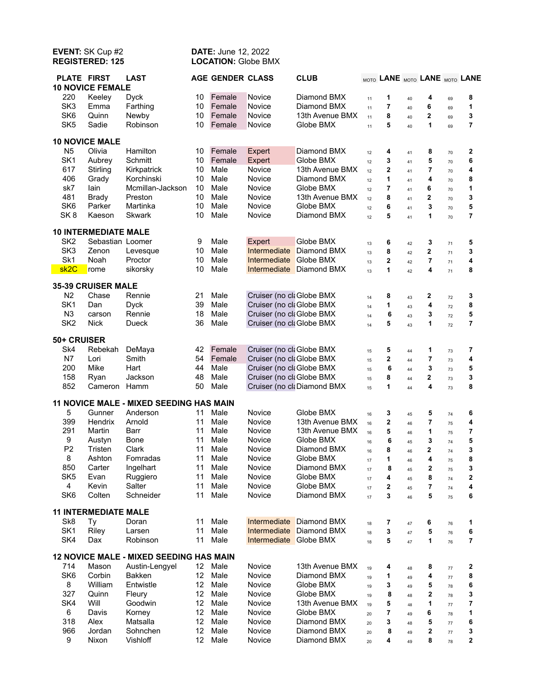## **EVENT:** SK Cup #2 **DATE:** June 12, 2022<br> **REGISTERED: 125 LOCATION:** Globe BM **LOCATION: Globe BMX**

| <b>PLATE FIRST</b> | <b>10 NOVICE FEMALE</b>           | <b>LAST</b>                                    |                  | <b>AGE GENDER CLASS</b> |                           | <b>CLUB</b>                 |          | MOTO LANE MOTO LANE MOTO LANE |          |                |          |                              |
|--------------------|-----------------------------------|------------------------------------------------|------------------|-------------------------|---------------------------|-----------------------------|----------|-------------------------------|----------|----------------|----------|------------------------------|
| 220                | Keeley                            | <b>Dyck</b>                                    | 10               | Female                  | <b>Novice</b>             | Diamond BMX                 | 11       | 1                             | 40       | 4              | 69       | 8                            |
| SK <sub>3</sub>    | Emma                              | Farthing                                       | 10               | Female                  | Novice                    | Diamond BMX                 | 11       | $\overline{\mathbf{r}}$       | 40       | 6              | 69       | 1                            |
| SK <sub>6</sub>    | Quinn                             | Newby                                          | 10               | Female                  | Novice                    | 13th Avenue BMX             | 11       | 8                             | 40       | $\mathbf{2}$   | 69       | 3                            |
| SK <sub>5</sub>    | Sadie                             | Robinson                                       | 10               | Female                  | Novice                    | Globe BMX                   | 11       | 5                             | 40       | 1              | 69       | $\overline{7}$               |
|                    | <b>10 NOVICE MALE</b>             |                                                |                  |                         |                           |                             |          |                               |          |                |          |                              |
| N <sub>5</sub>     | Olivia                            | Hamilton                                       | 10               | Female                  | Expert                    | Diamond BMX                 |          | 4                             |          | 8              |          | $\mathbf 2$                  |
| SK <sub>1</sub>    | Aubrey                            | Schmitt                                        | 10               | Female                  | Expert                    | Globe BMX                   | 12       | 3                             | 41       | 5              | 70       | 6                            |
| 617                | Stirling                          | Kirkpatrick                                    | 10               | Male                    | Novice                    | 13th Avenue BMX             | 12<br>12 | $\mathbf 2$                   | 41       | 7              | 70<br>70 | 4                            |
| 406                | Grady                             | Korchinski                                     | 10               | Male                    | Novice                    | Diamond BMX                 | 12       | 1                             | 41       | 4              |          | 8                            |
| sk7                | lain                              | Mcmillan-Jackson                               | 10               | Male                    | Novice                    | Globe BMX                   | 12       | 7                             | 41       | 6              | 70       | 1                            |
| 481                | <b>Brady</b>                      | Preston                                        | 10               | Male                    | Novice                    | 13th Avenue BMX             | 12       | 8                             | 41<br>41 | $\mathbf{2}$   | 70<br>70 | 3                            |
| SK <sub>6</sub>    | Parker                            | Martinka                                       | 10               | Male                    | Novice                    | Globe BMX                   | 12       | 6                             | 41       | 3              | 70       | 5                            |
| SK <sub>8</sub>    | Kaeson                            | <b>Skwark</b>                                  | 10               | Male                    | Novice                    | Diamond BMX                 | 12       | 5                             | 41       | 1              | 70       | 7                            |
|                    |                                   |                                                |                  |                         |                           |                             |          |                               |          |                |          |                              |
|                    | <b>10 INTERMEDIATE MALE</b>       |                                                |                  |                         |                           |                             |          |                               |          |                |          |                              |
| SK <sub>2</sub>    | Sebastian Loomer                  |                                                | 9                | Male                    | Expert                    | Globe BMX                   | 13       | 6                             | 42       | 3              | 71       | 5                            |
| SK <sub>3</sub>    | Zenon                             | Levesque                                       | 10               | Male                    |                           | Intermediate Diamond BMX    | 13       | 8                             | 42       | $\mathbf{2}$   | 71       | 3                            |
| Sk1                | Noah                              | Proctor                                        | 10               | Male                    | Intermediate Globe BMX    |                             | 13       | $\mathbf{2}$                  | 42       | $\overline{7}$ | 71       | 4                            |
| sk <sub>2C</sub>   | rome                              | sikorsky                                       | 10               | Male                    |                           | Intermediate Diamond BMX    | 13       | 1                             | 42       | 4              | 71       | 8                            |
| 35-39 CRUISER MALE |                                   |                                                |                  |                         |                           |                             |          |                               |          |                |          |                              |
| N <sub>2</sub>     | Chase                             | Rennie                                         | 21               | Male                    | Cruiser (no cla Globe BMX |                             | 14       | 8                             | 43       | 2              | 72       | 3                            |
| SK <sub>1</sub>    | Dan                               | <b>Dyck</b>                                    | 39               | Male                    | Cruiser (no ck Globe BMX  |                             | 14       | 1                             | 43       | 4              | 72       | 8                            |
| N <sub>3</sub>     | carson                            | Rennie                                         | 18               | Male                    | Cruiser (no ck Globe BMX  |                             | 14       | 6                             | 43       | 3              | 72       | 5                            |
| SK <sub>2</sub>    | <b>Nick</b>                       | Dueck                                          | 36               | Male                    | Cruiser (no ck Globe BMX  |                             | 14       | 5                             | 43       | 1              | 72       | $\overline{7}$               |
| 50+ CRUISER        |                                   |                                                |                  |                         |                           |                             |          |                               |          |                |          |                              |
| Sk4                | Rebekah                           | DeMaya                                         | 42               | Female                  | Cruiser (no cla Globe BMX |                             | 15       | 5                             | 44       | 1              | 73       | 7                            |
| N7                 | Lori                              | Smith                                          | 54               | Female                  | Cruiser (no ck Globe BMX  |                             | 15       | $\mathbf 2$                   | 44       | 7              | 73       | 4                            |
| 200                | Mike                              | Hart                                           | 44               | Male                    | Cruiser (no cla Globe BMX |                             | 15       | 6                             | 44       | 3              | 73       | 5                            |
| 158                | Ryan                              | Jackson                                        | 48               | Male                    | Cruiser (no cla Globe BMX |                             | 15       | 8                             | 44       | $\mathbf 2$    | 73       | 3                            |
| 852                | Cameron                           | Hamm                                           | 50               | Male                    |                           | Cruiser (no cla Diamond BMX | 15       | 1                             | 44       | 4              | 73       | 8                            |
|                    |                                   | 11 NOVICE MALE - MIXED SEEDING HAS MAIN        |                  |                         |                           |                             |          |                               |          |                |          |                              |
| 5                  | Gunner                            | Anderson                                       | 11               | Male                    | <b>Novice</b>             | Globe BMX                   |          |                               |          |                |          |                              |
| 399                | Hendrix                           | Arnold                                         | 11               | Male                    | Novice                    | 13th Avenue BMX             | 16       | 3<br>$\mathbf 2$              | 45       | 5<br>7         | 74       | 6                            |
| 291                | Martin                            | Barr                                           | 11               | Male                    | Novice                    | 13th Avenue BMX             | 16       | 5                             | 46       | 1              | 75       | 4<br>$\overline{\mathbf{r}}$ |
| 9                  | Austyn                            | Bone                                           | 11               | Male                    | Novice                    | Globe BMX                   | 16       | 6                             | 46       | 3              | 75       | 5                            |
| P <sub>2</sub>     | Tristen                           | Clark                                          | 11               | Male                    | Novice                    | Diamond BMX                 | 16       | 8                             | 45       | $\mathbf 2$    | 74       | 3                            |
| 8                  | Ashton                            | Fomradas                                       | 11               | Male                    | Novice                    | Globe BMX                   | 16       | 1                             | 46       | 4              | 74       | 8                            |
| 850                | Carter                            | Ingelhart                                      | 11               | Male                    | Novice                    | Diamond BMX                 | 17       | 8                             | 46       | 2              | 75       | 3                            |
| SK <sub>5</sub>    | Evan                              | Ruggiero                                       | 11               | Male                    | Novice                    | Globe BMX                   | $17\,$   | 4                             | 45       | 8              | 75       | 2                            |
| $\overline{4}$     | Kevin                             | Salter                                         | 11               | Male                    | Novice                    | Globe BMX                   | $17\,$   | 2                             | 45       | 7              | 74       | 4                            |
| SK <sub>6</sub>    | Colten                            | Schneider                                      | 11               | Male                    | Novice                    | Diamond BMX                 | 17<br>17 | 3                             | 45<br>46 | 5              | 74<br>75 | 6                            |
|                    |                                   |                                                |                  |                         |                           |                             |          |                               |          |                |          |                              |
| Sk <sub>8</sub>    | <b>11 INTERMEDIATE MALE</b><br>Тy | Doran                                          | 11               | Male                    |                           | Intermediate Diamond BMX    |          | 7                             |          | 6              |          | 1                            |
| SK <sub>1</sub>    | Riley                             | Larsen                                         | 11               | Male                    |                           | Intermediate Diamond BMX    | 18       | 3                             | 47       | 5              | 76       | 6                            |
| SK4                | Dax                               | Robinson                                       | 11               | Male                    | Intermediate Globe BMX    |                             | 18<br>18 | 5                             | 47<br>47 | 1              | 76<br>76 | 7                            |
|                    |                                   |                                                |                  |                         |                           |                             |          |                               |          |                |          |                              |
|                    |                                   | <b>12 NOVICE MALE - MIXED SEEDING HAS MAIN</b> |                  |                         |                           |                             |          |                               |          |                |          |                              |
| 714                | Mason                             | Austin-Lengyel                                 | 12 <sup>12</sup> | Male                    | Novice                    | 13th Avenue BMX             | 19       | 4                             | 48       | 8              | 77       | 2                            |
| SK6                | Corbin                            | Bakken                                         | 12               | Male                    | Novice                    | Diamond BMX                 | 19       | 1                             | 49       | 4              | 77       | 8                            |
| 8                  | William                           | Entwistle                                      | 12               | Male                    | Novice                    | Globe BMX                   | 19       | 3                             | 49       | 5              | 78       | 6                            |
| 327                | Quinn                             | Fleury                                         | 12               | Male                    | Novice                    | Globe BMX                   | 19       | 8                             | 48       | 2              | 78       | 3                            |
| SK4                | Will                              | Goodwin                                        | 12               | Male                    | Novice                    | 13th Avenue BMX             | 19       | 5                             | 48       | 1              | 77       | 7                            |
| 6                  | Davis                             | Korney                                         | 12               | Male                    | Novice                    | Globe BMX                   | 20       | 7                             | 49       | 6              | 78       | 1                            |
| 318                | Alex                              | Matsalla                                       | 12               | Male                    | Novice                    | Diamond BMX                 | 20       | 3                             | 48       | 5              | 77       | 6                            |
| 966                | Jordan                            | Sohnchen                                       | 12               | Male                    | Novice                    | Diamond BMX                 | 20       | 8                             | 49       | 2              | $77 \,$  | 3                            |
| 9                  | Nixon                             | Vishloff                                       | 12 <sup>12</sup> | Male                    | Novice                    | Diamond BMX                 | 20       | 4                             | 49       | 8              | 78       | $\mathbf 2$                  |